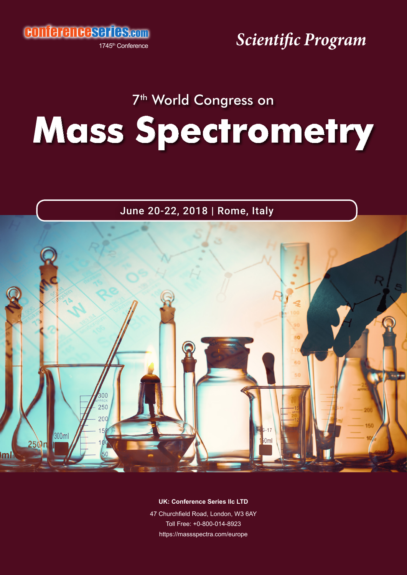conferenceseries.com

1745<sup>th</sup> Conference

*Scientific Program*

### 7<sup>th</sup> World Congress on

## **Mass Spectrometry**

June 20-22, 2018 | Rome, Italy



**UK: Conference Series IIc LTD** 

47 Churchfield Road, London, W3 6AY Toll Free: +0-800-014-8923 https://massspectra.com/europe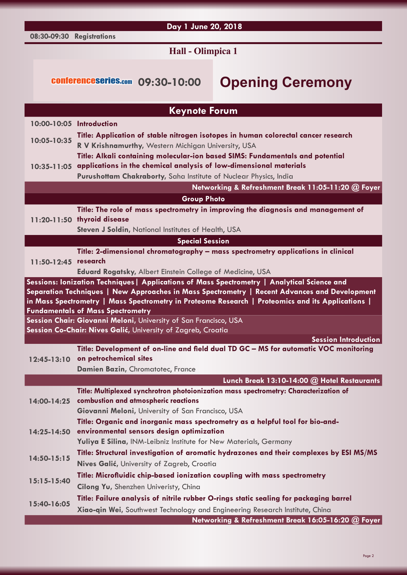#### **08:30-09:30 Registrations**

#### **Day 1 June 20, 2018**

#### **Hall - Olimpica 1**

### conferenceseries.com **09:30-10:00 Opening Ceremony**

|                      | <b>Keynote Forum</b>                                                                                                               |
|----------------------|------------------------------------------------------------------------------------------------------------------------------------|
|                      | 10:00-10:05 Introduction                                                                                                           |
| 10:05-10:35          | Title: Application of stable nitrogen isotopes in human colorectal cancer research                                                 |
|                      | R V Krishnamurthy, Western Michigan University, USA                                                                                |
| $10:35 - 11:05$      | Title: Alkali containing molecular-ion based SIMS: Fundamentals and potential                                                      |
|                      | applications in the chemical analysis of low-dimensional materials                                                                 |
|                      | Purushottam Chakraborty, Saha Institute of Nuclear Physics, India                                                                  |
|                      | Networking & Refreshment Break 11:05-11:20 @ Foyer                                                                                 |
|                      | <b>Group Photo</b>                                                                                                                 |
|                      | Title: The role of mass spectrometry in improving the diagnosis and management of                                                  |
|                      | 11:20-11:50 thyroid disease                                                                                                        |
|                      | Steven J Soldin, National Institutes of Health, USA                                                                                |
|                      | <b>Special Session</b>                                                                                                             |
| 11:50-12:45 research | Title: 2-dimensional chromatography - mass spectrometry applications in clinical                                                   |
|                      | Eduard Rogatsky, Albert Einstein College of Medicine, USA                                                                          |
|                      | Sessions: Ionization Techniques   Applications of Mass Spectrometry   Analytical Science and                                       |
|                      | Separation Techniques   New Approaches in Mass Spectrometry   Recent Advances and Development                                      |
|                      | in Mass Spectrometry   Mass Spectrometry in Proteome Research   Proteomics and its Applications                                    |
|                      | <b>Fundamentals of Mass Spectrometry</b>                                                                                           |
|                      | Session Chair: Giovanni Meloni, University of San Francisco, USA                                                                   |
|                      | Session Co-Chair: Nives Galić, University of Zagreb, Croatia                                                                       |
|                      |                                                                                                                                    |
| $12:45-13:10$        | <b>Session Introduction</b>                                                                                                        |
|                      | Title: Development of on-line and field dual TD GC - MS for automatic VOC monitoring<br>on petrochemical sites                     |
|                      | Damien Bazin, Chromatotec, France                                                                                                  |
|                      | Lunch Break 13:10-14:00 @ Hotel Restaurants                                                                                        |
|                      | Title: Multiplexed synchrotron photoionization mass spectrometry: Characterization of                                              |
| 14:00-14:25          | combustion and atmospheric reactions                                                                                               |
|                      | Giovanni Meloni, University of San Francisco, USA                                                                                  |
|                      | Title: Organic and inorganic mass spectrometry as a helpful tool for bio-and-                                                      |
| 14:25-14:50          | environmental sensors design optimization                                                                                          |
|                      | Yuliya E Silina, INM-Leibniz Institute for New Materials, Germany                                                                  |
| 14:50-15:15          | Title: Structural investigation of aromatic hydrazones and their complexes by ESI MS/MS                                            |
|                      | Nives Galić, University of Zagreb, Croatia                                                                                         |
| $15:15-15:40$        | Title: Microfluidic chip-based ionization coupling with mass spectrometry                                                          |
|                      | Cilong Yu, Shenzhen Univeristy, China                                                                                              |
| 15:40-16:05          | Title: Failure analysis of nitrile rubber O-rings static sealing for packaging barrel                                              |
|                      | Xiao-qin Wei, Southwest Technology and Engineering Research Institute, China<br>Networking & Refreshment Break 16:05-16:20 @ Foyer |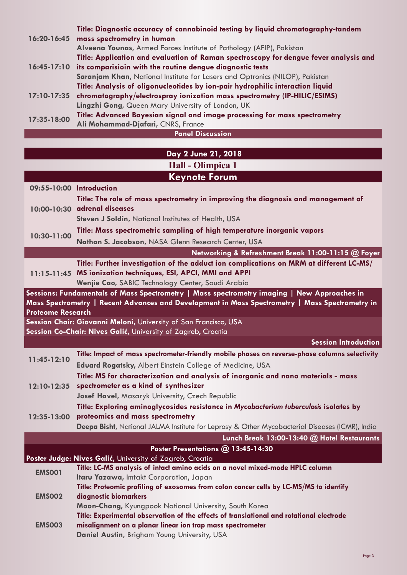|                         | Title: Diagnostic accuracy of cannabinoid testing by liquid chromatography-tandem     |  |  |
|-------------------------|---------------------------------------------------------------------------------------|--|--|
| 16:20-16:45             | mass spectrometry in human                                                            |  |  |
|                         | Alveena Younas, Armed Forces Institute of Pathology (AFIP), Pakistan                  |  |  |
|                         | Title: Application and evaluation of Raman spectroscopy for dengue fever analysis and |  |  |
| $16:45-17:10$           | its comparisioin with the routine dengue diagnostic tests                             |  |  |
|                         | Saranjam Khan, National Institute for Lasers and Optronics (NILOP), Pakistan          |  |  |
| $17:10 - 17:35$         | Title: Analysis of oligonucleotides by ion-pair hydrophilic interaction liquid        |  |  |
|                         | chromatography/electrospray ionization mass spectrometry (IP-HILIC/ESIMS)             |  |  |
|                         | Lingzhi Gong, Queen Mary University of London, UK                                     |  |  |
| 17:35-18:00             | Title: Advanced Bayesian signal and image processing for mass spectrometry            |  |  |
|                         | Ali Mohammad-Djafari, CNRS, France                                                    |  |  |
| <b>Panel Discussion</b> |                                                                                       |  |  |

| Day 2 June 21, 2018                          |  |
|----------------------------------------------|--|
| $\text{Hall}$ $\Omega$ $\text{lim}$ $\Omega$ |  |

|                          | пан - Оншрка т                                                                                                                   |
|--------------------------|----------------------------------------------------------------------------------------------------------------------------------|
|                          | <b>Keynote Forum</b>                                                                                                             |
| 09:55-10:00 Introduction |                                                                                                                                  |
|                          | Title: The role of mass spectrometry in improving the diagnosis and management of                                                |
|                          | 10:00-10:30 adrenal diseases                                                                                                     |
|                          | Steven J Soldin, National Institutes of Health, USA                                                                              |
| 10:30-11:00              | Title: Mass spectrometric sampling of high temperature inorganic vapors                                                          |
|                          | Nathan S. Jacobson, NASA Glenn Research Center, USA                                                                              |
|                          | Networking & Refreshment Break 11:00-11:15 @ Foyer                                                                               |
|                          | Title: Further investigation of the adduct ion complications on MRM at different LC-MS/                                          |
|                          | 11:15-11:45 MS ionization techniques, ESI, APCI, MMI and APPI                                                                    |
|                          | Wenjie Cao, SABIC Technology Center, Saudi Arabia                                                                                |
|                          | Sessions: Fundamentals of Mass Spectrometry   Mass spectrometry imaging   New Approaches in                                      |
|                          | Mass Spectrometry   Recent Advances and Development in Mass Spectrometry   Mass Spectrometry in                                  |
| <b>Proteome Research</b> |                                                                                                                                  |
|                          | Session Chair: Giovanni Meloni, University of San Francisco, USA<br>Session Co-Chair: Nives Galić, University of Zagreb, Croatia |
|                          | <b>Session Introduction</b>                                                                                                      |
|                          | Title: Impact of mass spectrometer-friendly mobile phases on reverse-phase columns selectivity                                   |
| 11:45-12:10              |                                                                                                                                  |
|                          | Eduard Rogatsky, Albert Einstein College of Medicine, USA                                                                        |
|                          | Title: MS for characterization and analysis of inorganic and nano materials - mass<br>spectrometer as a kind of synthesizer      |
| $12:10 - 12:35$          | Josef Havel, Masaryk University, Czech Republic                                                                                  |
|                          | Title: Exploring aminoglycosides resistance in Mycobacterium tuberculosis isolates by                                            |
| 12:35-13:00              | proteomics and mass spectrometry                                                                                                 |
|                          | Deepa Bisht, National JALMA Institute for Leprosy & Other Mycobacterial Diseases (ICMR), India                                   |
|                          | Lunch Break 13:00-13:40 @ Hotel Restaurants                                                                                      |
|                          | Poster Presentations @ 13:45-14:30                                                                                               |
|                          | Poster Judge: Nives Galić, University of Zagreb, Croatia                                                                         |
|                          | Title: LC-MS analysis of intact amino acids on a novel mixed-mode HPLC column                                                    |
| <b>EMS001</b>            | Itaru Yazawa, Imtakt Corporation, Japan                                                                                          |
| <b>EMS002</b>            | Title: Proteomic profiling of exosomes from colon cancer cells by LC-MS/MS to identify                                           |
|                          | diagnostic biomarkers                                                                                                            |
|                          | Moon-Chang, Kyungpook National University, South Korea                                                                           |
| <b>EMS003</b>            | Title: Experimental observation of the effects of translational and rotational electrode                                         |
|                          | misalignment on a planar linear ion trap mass spectrometer                                                                       |
|                          | Daniel Austin, Brigham Young University, USA                                                                                     |